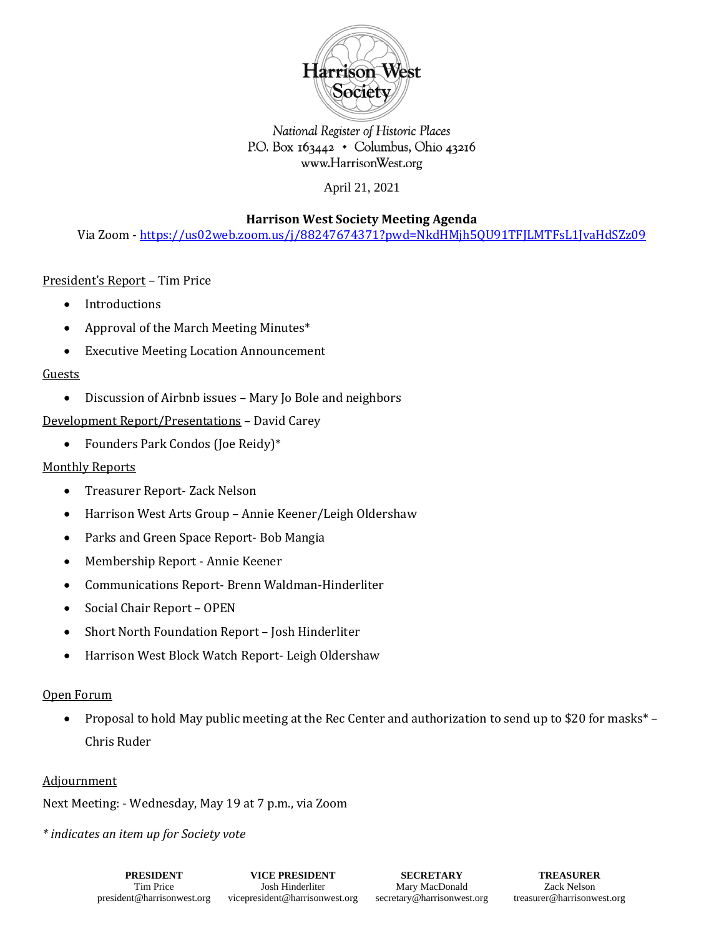

National Register of Historic Places P.O. Box 163442 • Columbus, Ohio 43216 www.HarrisonWest.org

April 21, 2021

**Harrison West Society Meeting Agenda**

Via Zoom - <https://us02web.zoom.us/j/88247674371?pwd=NkdHMjh5QU91TFJLMTFsL1JvaHdSZz09>

# President's Report – Tim Price

- Introductions
- Approval of the March Meeting Minutes\*
- Executive Meeting Location Announcement

# Guests

• Discussion of Airbnb issues – Mary Jo Bole and neighbors

Development Report/Presentations – David Carey

• Founders Park Condos (Joe Reidy)\*

# Monthly Reports

- Treasurer Report- Zack Nelson
- Harrison West Arts Group Annie Keener/Leigh Oldershaw
- Parks and Green Space Report- Bob Mangia
- Membership Report Annie Keener
- Communications Report- Brenn Waldman-Hinderliter
- Social Chair Report OPEN
- Short North Foundation Report Josh Hinderliter
- Harrison West Block Watch Report- Leigh Oldershaw

### Open Forum

• Proposal to hold May public meeting at the Rec Center and authorization to send up to \$20 for masks\* – Chris Ruder

#### Adjournment

Next Meeting: - Wednesday, May 19 at 7 p.m., via Zoom

*\* indicates an item up for Society vote*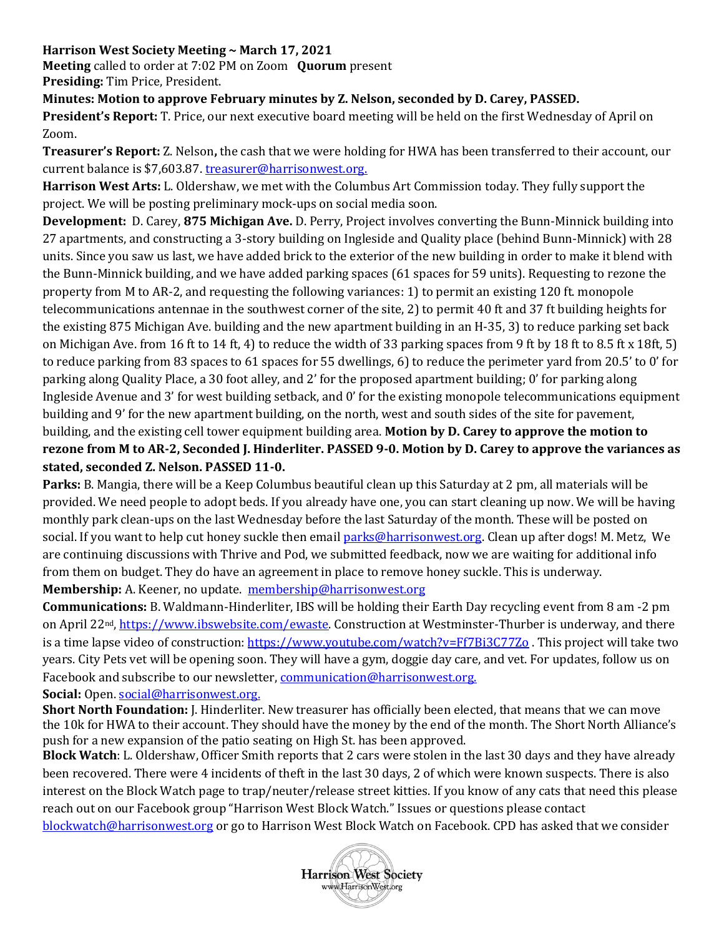# **Harrison West Society Meeting ~ March 17, 2021**

**Meeting** called to order at 7:02 PM on Zoom **Quorum** present **Presiding:** Tim Price, President.

**Minutes: Motion to approve February minutes by Z. Nelson, seconded by D. Carey, PASSED.** 

**President's Report:** T. Price, our next executive board meeting will be held on the first Wednesday of April on Zoom.

**Treasurer's Report:** Z. Nelson**,** the cash that we were holding for HWA has been transferred to their account, our current balance is \$7,603.87. treasurer@harrisonwest.org.

**Harrison West Arts:** L. Oldershaw, we met with the Columbus Art Commission today. They fully support the project. We will be posting preliminary mock-ups on social media soon.

**Development:** D. Carey, **875 Michigan Ave.** D. Perry, Project involves converting the Bunn-Minnick building into 27 apartments, and constructing a 3-story building on Ingleside and Quality place (behind Bunn-Minnick) with 28 units. Since you saw us last, we have added brick to the exterior of the new building in order to make it blend with the Bunn-Minnick building, and we have added parking spaces (61 spaces for 59 units). Requesting to rezone the property from M to AR-2, and requesting the following variances: 1) to permit an existing 120 ft. monopole telecommunications antennae in the southwest corner of the site, 2) to permit 40 ft and 37 ft building heights for the existing 875 Michigan Ave. building and the new apartment building in an H-35, 3) to reduce parking set back on Michigan Ave. from 16 ft to 14 ft, 4) to reduce the width of 33 parking spaces from 9 ft by 18 ft to 8.5 ft x 18ft, 5) to reduce parking from 83 spaces to 61 spaces for 55 dwellings, 6) to reduce the perimeter yard from 20.5' to 0' for parking along Quality Place, a 30 foot alley, and 2' for the proposed apartment building; 0' for parking along Ingleside Avenue and 3' for west building setback, and 0' for the existing monopole telecommunications equipment building and 9' for the new apartment building, on the north, west and south sides of the site for pavement, building, and the existing cell tower equipment building area. **Motion by D. Carey to approve the motion to rezone from M to AR-2, Seconded J. Hinderliter. PASSED 9-0. Motion by D. Carey to approve the variances as stated, seconded Z. Nelson. PASSED 11-0.** 

**Parks:** B. Mangia, there will be a Keep Columbus beautiful clean up this Saturday at 2 pm, all materials will be provided. We need people to adopt beds. If you already have one, you can start cleaning up now. We will be having monthly park clean-ups on the last Wednesday before the last Saturday of the month. These will be posted on social. If you want to help cut honey suckle then emai[l parks@harrisonwest.org.](mailto:parks@harrisonwest.org) Clean up after dogs! M. Metz, We are continuing discussions with Thrive and Pod, we submitted feedback, now we are waiting for additional info from them on budget. They do have an agreement in place to remove honey suckle. This is underway. **Membership:** A. Keener, no update. [membership@harrisonwest.org](mailto:membership@harrisonwest.org)

**Communications:** B. Waldmann-Hinderliter, IBS will be holding their Earth Day recycling event from 8 am -2 pm on April 22nd, [https://www.ibswebsite.com/ewaste.](https://www.ibswebsite.com/ewaste) Construction at Westminster-Thurber is underway, and there is a time lapse video of construction[: https://www.youtube.com/watch?v=Ff7Bi3C77Zo](https://www.youtube.com/watch?v=Ff7Bi3C77Zo). This project will take two years. City Pets vet will be opening soon. They will have a gym, doggie day care, and vet. For updates, follow us on Facebook and subscribe to our newsletter, [communication@harrisonwest.org.](mailto:communication@harrisonwest.org)

### **Social:** Open. [social@harrisonwest.org.](mailto:social@harrisonwest.org)

**Short North Foundation:** J. Hinderliter. New treasurer has officially been elected, that means that we can move the 10k for HWA to their account. They should have the money by the end of the month. The Short North Alliance's push for a new expansion of the patio seating on High St. has been approved.

**Block Watch**: L. Oldershaw, Officer Smith reports that 2 cars were stolen in the last 30 days and they have already been recovered. There were 4 incidents of theft in the last 30 days, 2 of which were known suspects. There is also interest on the Block Watch page to trap/neuter/release street kitties. If you know of any cats that need this please reach out on our Facebook group "Harrison West Block Watch." Issues or questions please contact [blockwatch@harrisonwest.org](mailto:blockwatch@harrisonwest.org) or go to Harrison West Block Watch on Facebook. CPD has asked that we consider

**Harrison West Society** www.HarrisonWest.org